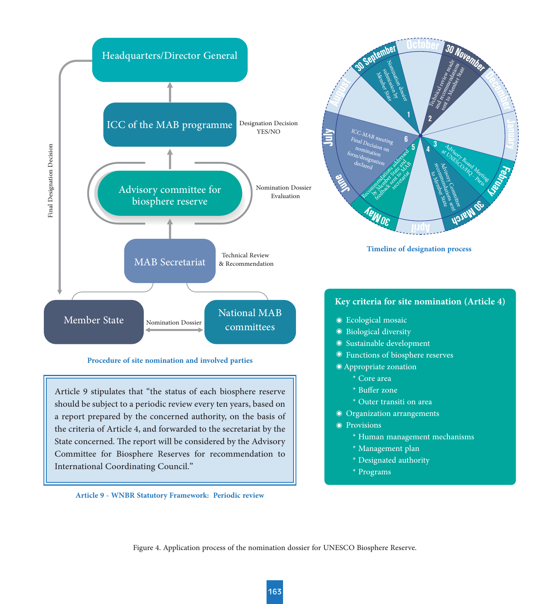

Figure 4. Application process of the nomination dossier for UNESCO Biosphere Reserve.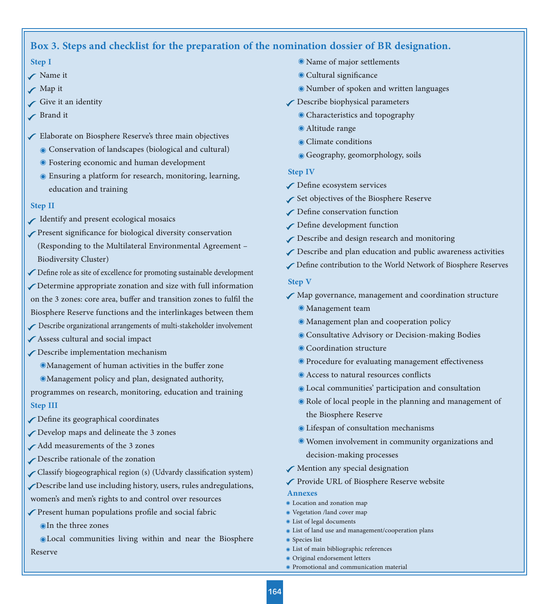# **Box 3. Steps and checklist for the preparation of the nomination dossier of BR designation.**

#### **Step I**

- Name it
- **∕** Map it
- Give it an identity
- Brand it
- Elaborate on Biosphere Reserve's three main objectives
	- Conservation of landscapes (biological and cultural)
	- Fostering economic and human development
	- Ensuring a platform for research, monitoring, learning, education and training

#### **Step II**

- Identify and present ecological mosaics
- Present significance for biological diversity conservation (Responding to the Multilateral Environmental Agreement – Biodiversity Cluster)
- $\blacktriangledown$  Define role as site of excellence for promoting sustainable development Determine appropriate zonation and size with full information on the 3 zones: core area, buffer and transition zones to fulfil the Biosphere Reserve functions and the interlinkages between them
- Describe organizational arrangements of multi-stakeholder involvement
- Assess cultural and social impact
- Describe implementation mechanism
	- **Management of human activities in the buffer zone**
	- Management policy and plan, designated authority,
- programmes on research, monitoring, education and training **Step III**
- $\sqrt{\ }$  Define its geographical coordinates
- Develop maps and delineate the 3 zones
- Add measurements of the 3 zones
- Describe rationale of the zonation
- Classify biogeographical region (s) (Udvardy classification system)
- Describe land use including history, users, rules andregulations,
- women's and men's rights to and control over resources
- $\sqrt{\ }$  Present human populations profile and social fabric In the three zones
- Local communities living within and near the Biosphere Reserve
- Name of major settlements
- Cultural significance
- Number of spoken and written languages
- Describe biophysical parameters
	- Characteristics and topography
	- Altitude range
	- Climate conditions
	- Geography, geomorphology, soils

#### **Step IV**

- $\sqrt{\phantom{a}}$  Define ecosystem services
- Set objectives of the Biosphere Reserve
- $\curvearrowleft$  Define conservation function
- Define development function
- Describe and design research and monitoring
- Describe and plan education and public awareness activities
- Define contribution to the World Network of Biosphere Reserves

#### **Step V**

- Map governance, management and coordination structure
	- Management team
	- Management plan and cooperation policy
	- Consultative Advisory or Decision-making Bodies
	- Coordination structure
	- Procedure for evaluating management effectiveness
	- Access to natural resources conflicts
	- Local communities' participation and consultation
	- Role of local people in the planning and management of the Biosphere Reserve
	- Lifespan of consultation mechanisms
	- Women involvement in community organizations and decision-making processes
- Mention any special designation
- Provide URL of Biosphere Reserve website

#### **Annexes**

- Location and zonation map
- Vegetation /land cover map
- List of legal documents
- List of land use and management/cooperation plans
- Species list
- List of main bibliographic references
- Original endorsement letters
- Promotional and communication material